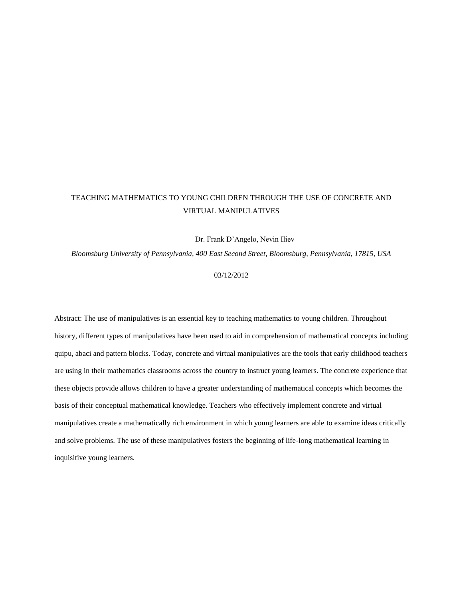# TEACHING MATHEMATICS TO YOUNG CHILDREN THROUGH THE USE OF CONCRETE AND VIRTUAL MANIPULATIVES

Dr. Frank D'Angelo, Nevin Iliev

*Bloomsburg University of Pennsylvania, 400 East Second Street, Bloomsburg, Pennsylvania, 17815, USA*

## 03/12/2012

Abstract: The use of manipulatives is an essential key to teaching mathematics to young children. Throughout history, different types of manipulatives have been used to aid in comprehension of mathematical concepts including quipu, abaci and pattern blocks. Today, concrete and virtual manipulatives are the tools that early childhood teachers are using in their mathematics classrooms across the country to instruct young learners. The concrete experience that these objects provide allows children to have a greater understanding of mathematical concepts which becomes the basis of their conceptual mathematical knowledge. Teachers who effectively implement concrete and virtual manipulatives create a mathematically rich environment in which young learners are able to examine ideas critically and solve problems. The use of these manipulatives fosters the beginning of life-long mathematical learning in inquisitive young learners.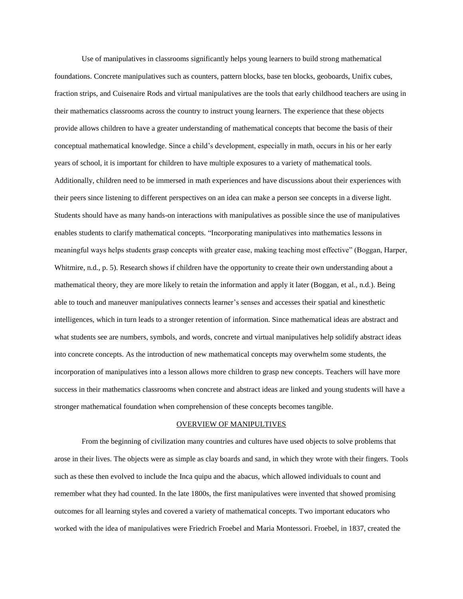Use of manipulatives in classrooms significantly helps young learners to build strong mathematical foundations. Concrete manipulatives such as counters, pattern blocks, base ten blocks, geoboards, Unifix cubes, fraction strips, and Cuisenaire Rods and virtual manipulatives are the tools that early childhood teachers are using in their mathematics classrooms across the country to instruct young learners. The experience that these objects provide allows children to have a greater understanding of mathematical concepts that become the basis of their conceptual mathematical knowledge. Since a child's development, especially in math, occurs in his or her early years of school, it is important for children to have multiple exposures to a variety of mathematical tools. Additionally, children need to be immersed in math experiences and have discussions about their experiences with their peers since listening to different perspectives on an idea can make a person see concepts in a diverse light. Students should have as many hands-on interactions with manipulatives as possible since the use of manipulatives enables students to clarify mathematical concepts. "Incorporating manipulatives into mathematics lessons in meaningful ways helps students grasp concepts with greater ease, making teaching most effective" (Boggan, Harper, Whitmire, n.d., p. 5). Research shows if children have the opportunity to create their own understanding about a mathematical theory, they are more likely to retain the information and apply it later (Boggan, et al., n.d.). Being able to touch and maneuver manipulatives connects learner's senses and accesses their spatial and kinesthetic intelligences, which in turn leads to a stronger retention of information. Since mathematical ideas are abstract and what students see are numbers, symbols, and words, concrete and virtual manipulatives help solidify abstract ideas into concrete concepts. As the introduction of new mathematical concepts may overwhelm some students, the incorporation of manipulatives into a lesson allows more children to grasp new concepts. Teachers will have more success in their mathematics classrooms when concrete and abstract ideas are linked and young students will have a stronger mathematical foundation when comprehension of these concepts becomes tangible.

#### OVERVIEW OF MANIPULTIVES

From the beginning of civilization many countries and cultures have used objects to solve problems that arose in their lives. The objects were as simple as clay boards and sand, in which they wrote with their fingers. Tools such as these then evolved to include the Inca quipu and the abacus, which allowed individuals to count and remember what they had counted. In the late 1800s, the first manipulatives were invented that showed promising outcomes for all learning styles and covered a variety of mathematical concepts. Two important educators who worked with the idea of manipulatives were Friedrich Froebel and Maria Montessori. Froebel, in 1837, created the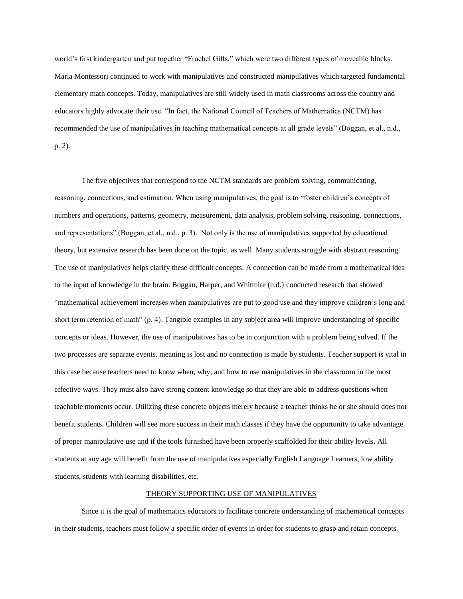world's first kindergarten and put together "Froebel Gifts," which were two different types of moveable blocks. Maria Montessori continued to work with manipulatives and constructed manipulatives which targeted fundamental elementary math concepts. Today, manipulatives are still widely used in math classrooms across the country and educators highly advocate their use. "In fact, the National Council of Teachers of Mathematics (NCTM) has recommended the use of manipulatives in teaching mathematical concepts at all grade levels" (Boggan, et al., n.d., p. 2).

The five objectives that correspond to the NCTM standards are problem solving, communicating, reasoning, connections, and estimation. When using manipulatives, the goal is to "foster children's concepts of numbers and operations, patterns, geometry, measurement, data analysis, problem solving, reasoning, connections, and representations" (Boggan, et al., n.d., p. 3). Not only is the use of manipulatives supported by educational theory, but extensive research has been done on the topic, as well. Many students struggle with abstract reasoning. The use of manipulatives helps clarify these difficult concepts. A connection can be made from a mathematical idea to the input of knowledge in the brain. Boggan, Harper, and Whitmire (n.d.) conducted research that showed "mathematical achievement increases when manipulatives are put to good use and they improve children's long and short term retention of math" (p. 4). Tangible examples in any subject area will improve understanding of specific concepts or ideas. However, the use of manipulatives has to be in conjunction with a problem being solved. If the two processes are separate events, meaning is lost and no connection is made by students. Teacher support is vital in this case because teachers need to know when, why, and how to use manipulatives in the classroom in the most effective ways. They must also have strong content knowledge so that they are able to address questions when teachable moments occur. Utilizing these concrete objects merely because a teacher thinks he or she should does not benefit students. Children will see more success in their math classes if they have the opportunity to take advantage of proper manipulative use and if the tools furnished have been properly scaffolded for their ability levels. All students at any age will benefit from the use of manipulatives especially English Language Learners, low ability students, students with learning disabilities, etc.

#### THEORY SUPPORTING USE OF MANIPULATIVES

Since it is the goal of mathematics educators to facilitate concrete understanding of mathematical concepts in their students, teachers must follow a specific order of events in order for students to grasp and retain concepts.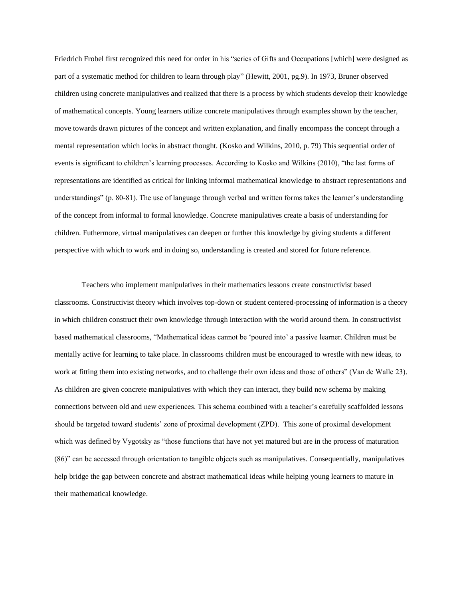Friedrich Frobel first recognized this need for order in his "series of Gifts and Occupations [which] were designed as part of a systematic method for children to learn through play" (Hewitt, 2001, pg.9). In 1973, Bruner observed children using concrete manipulatives and realized that there is a process by which students develop their knowledge of mathematical concepts. Young learners utilize concrete manipulatives through examples shown by the teacher, move towards drawn pictures of the concept and written explanation, and finally encompass the concept through a mental representation which locks in abstract thought. (Kosko and Wilkins, 2010, p. 79) This sequential order of events is significant to children's learning processes. According to Kosko and Wilkins (2010), "the last forms of representations are identified as critical for linking informal mathematical knowledge to abstract representations and understandings" (p. 80-81). The use of language through verbal and written forms takes the learner's understanding of the concept from informal to formal knowledge. Concrete manipulatives create a basis of understanding for children. Futhermore, virtual manipulatives can deepen or further this knowledge by giving students a different perspective with which to work and in doing so, understanding is created and stored for future reference.

Teachers who implement manipulatives in their mathematics lessons create constructivist based classrooms. Constructivist theory which involves top-down or student centered-processing of information is a theory in which children construct their own knowledge through interaction with the world around them. In constructivist based mathematical classrooms, "Mathematical ideas cannot be 'poured into' a passive learner. Children must be mentally active for learning to take place. In classrooms children must be encouraged to wrestle with new ideas, to work at fitting them into existing networks, and to challenge their own ideas and those of others" (Van de Walle 23). As children are given concrete manipulatives with which they can interact, they build new schema by making connections between old and new experiences. This schema combined with a teacher's carefully scaffolded lessons should be targeted toward students' zone of proximal development (ZPD). This zone of proximal development which was defined by Vygotsky as "those functions that have not yet matured but are in the process of maturation (86)" can be accessed through orientation to tangible objects such as manipulatives. Consequentially, manipulatives help bridge the gap between concrete and abstract mathematical ideas while helping young learners to mature in their mathematical knowledge.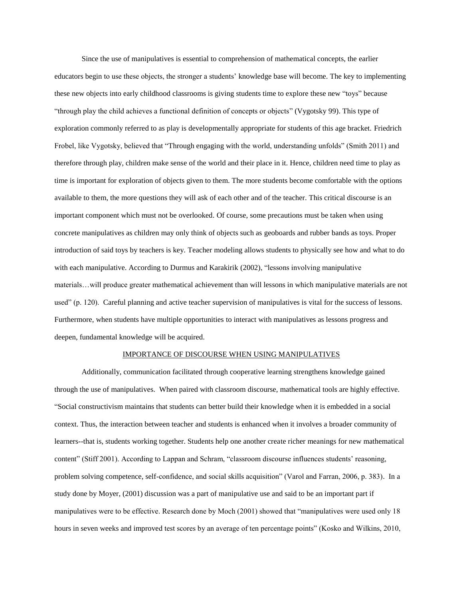Since the use of manipulatives is essential to comprehension of mathematical concepts, the earlier educators begin to use these objects, the stronger a students' knowledge base will become. The key to implementing these new objects into early childhood classrooms is giving students time to explore these new "toys" because "through play the child achieves a functional definition of concepts or objects" (Vygotsky 99). This type of exploration commonly referred to as play is developmentally appropriate for students of this age bracket. Friedrich Frobel, like Vygotsky, believed that "Through engaging with the world, understanding unfolds" (Smith 2011) and therefore through play, children make sense of the world and their place in it. Hence, children need time to play as time is important for exploration of objects given to them. The more students become comfortable with the options available to them, the more questions they will ask of each other and of the teacher. This critical discourse is an important component which must not be overlooked. Of course, some precautions must be taken when using concrete manipulatives as children may only think of objects such as geoboards and rubber bands as toys. Proper introduction of said toys by teachers is key. Teacher modeling allows students to physically see how and what to do with each manipulative. According to Durmus and Karakirik (2002), "lessons involving manipulative materials…will produce greater mathematical achievement than will lessons in which manipulative materials are not used" (p. 120). Careful planning and active teacher supervision of manipulatives is vital for the success of lessons. Furthermore, when students have multiple opportunities to interact with manipulatives as lessons progress and deepen, fundamental knowledge will be acquired.

#### IMPORTANCE OF DISCOURSE WHEN USING MANIPULATIVES

Additionally, communication facilitated through cooperative learning strengthens knowledge gained through the use of manipulatives. When paired with classroom discourse, mathematical tools are highly effective. "Social constructivism maintains that students can better build their knowledge when it is embedded in a social context. Thus, the interaction between teacher and students is enhanced when it involves a broader community of learners--that is, students working together. Students help one another create richer meanings for new mathematical content" (Stiff 2001). According to Lappan and Schram, "classroom discourse influences students' reasoning, problem solving competence, self-confidence, and social skills acquisition" (Varol and Farran, 2006, p. 383). In a study done by Moyer, (2001) discussion was a part of manipulative use and said to be an important part if manipulatives were to be effective. Research done by Moch (2001) showed that "manipulatives were used only 18 hours in seven weeks and improved test scores by an average of ten percentage points" (Kosko and Wilkins, 2010,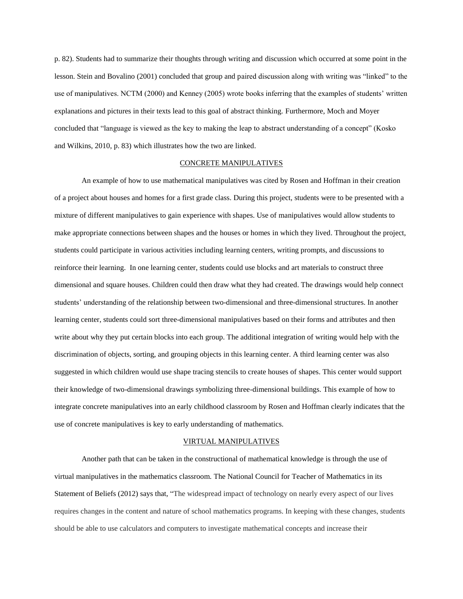p. 82). Students had to summarize their thoughts through writing and discussion which occurred at some point in the lesson. Stein and Bovalino (2001) concluded that group and paired discussion along with writing was "linked" to the use of manipulatives. NCTM (2000) and Kenney (2005) wrote books inferring that the examples of students' written explanations and pictures in their texts lead to this goal of abstract thinking. Furthermore, Moch and Moyer concluded that "language is viewed as the key to making the leap to abstract understanding of a concept" (Kosko and Wilkins, 2010, p. 83) which illustrates how the two are linked.

#### CONCRETE MANIPULATIVES

An example of how to use mathematical manipulatives was cited by Rosen and Hoffman in their creation of a project about houses and homes for a first grade class. During this project, students were to be presented with a mixture of different manipulatives to gain experience with shapes. Use of manipulatives would allow students to make appropriate connections between shapes and the houses or homes in which they lived. Throughout the project, students could participate in various activities including learning centers, writing prompts, and discussions to reinforce their learning. In one learning center, students could use blocks and art materials to construct three dimensional and square houses. Children could then draw what they had created. The drawings would help connect students' understanding of the relationship between two-dimensional and three-dimensional structures. In another learning center, students could sort three-dimensional manipulatives based on their forms and attributes and then write about why they put certain blocks into each group. The additional integration of writing would help with the discrimination of objects, sorting, and grouping objects in this learning center. A third learning center was also suggested in which children would use shape tracing stencils to create houses of shapes. This center would support their knowledge of two-dimensional drawings symbolizing three-dimensional buildings. This example of how to integrate concrete manipulatives into an early childhood classroom by Rosen and Hoffman clearly indicates that the use of concrete manipulatives is key to early understanding of mathematics.

#### VIRTUAL MANIPULATIVES

Another path that can be taken in the constructional of mathematical knowledge is through the use of virtual manipulatives in the mathematics classroom. The National Council for Teacher of Mathematics in its Statement of Beliefs (2012) says that, "The widespread impact of technology on nearly every aspect of our lives requires changes in the content and nature of school mathematics programs. In keeping with these changes, students should be able to use calculators and computers to investigate mathematical concepts and increase their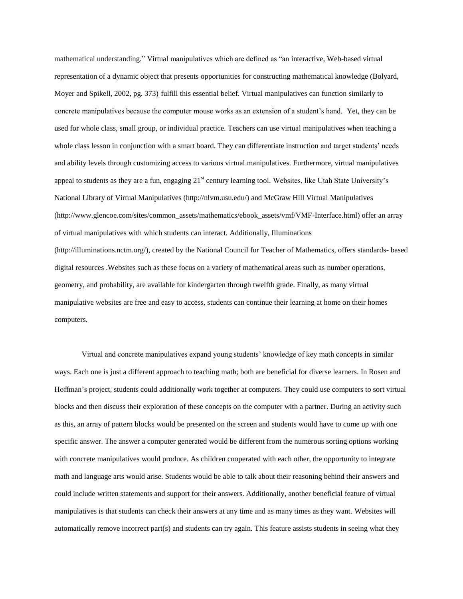mathematical understanding." Virtual manipulatives which are defined as "an interactive, Web-based virtual representation of a dynamic object that presents opportunities for constructing mathematical knowledge (Bolyard, Moyer and Spikell, 2002, pg. 373) fulfill this essential belief. Virtual manipulatives can function similarly to concrete manipulatives because the computer mouse works as an extension of a student's hand. Yet, they can be used for whole class, small group, or individual practice. Teachers can use virtual manipulatives when teaching a whole class lesson in conjunction with a smart board. They can differentiate instruction and target students' needs and ability levels through customizing access to various virtual manipulatives. Furthermore, virtual manipulatives appeal to students as they are a fun, engaging  $21<sup>st</sup>$  century learning tool. Websites, like Utah State University's National Library of Virtual Manipulatives (http://nlvm.usu.edu/) and McGraw Hill Virtual Manipulatives (http://www.glencoe.com/sites/common\_assets/mathematics/ebook\_assets/vmf/VMF-Interface.html) offer an array of virtual manipulatives with which students can interact. Additionally, Illuminations (http://illuminations.nctm.org/), created by the National Council for Teacher of Mathematics, offers standards- based digital resources .Websites such as these focus on a variety of mathematical areas such as number operations, geometry, and probability, are available for kindergarten through twelfth grade. Finally, as many virtual manipulative websites are free and easy to access, students can continue their learning at home on their homes computers.

Virtual and concrete manipulatives expand young students' knowledge of key math concepts in similar ways. Each one is just a different approach to teaching math; both are beneficial for diverse learners. In Rosen and Hoffman's project, students could additionally work together at computers. They could use computers to sort virtual blocks and then discuss their exploration of these concepts on the computer with a partner. During an activity such as this, an array of pattern blocks would be presented on the screen and students would have to come up with one specific answer. The answer a computer generated would be different from the numerous sorting options working with concrete manipulatives would produce. As children cooperated with each other, the opportunity to integrate math and language arts would arise. Students would be able to talk about their reasoning behind their answers and could include written statements and support for their answers. Additionally, another beneficial feature of virtual manipulatives is that students can check their answers at any time and as many times as they want. Websites will automatically remove incorrect part(s) and students can try again. This feature assists students in seeing what they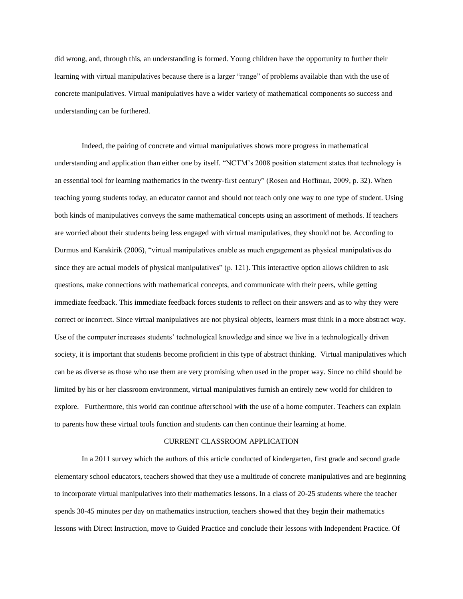did wrong, and, through this, an understanding is formed. Young children have the opportunity to further their learning with virtual manipulatives because there is a larger "range" of problems available than with the use of concrete manipulatives. Virtual manipulatives have a wider variety of mathematical components so success and understanding can be furthered.

Indeed, the pairing of concrete and virtual manipulatives shows more progress in mathematical understanding and application than either one by itself. "NCTM's 2008 position statement states that technology is an essential tool for learning mathematics in the twenty-first century" (Rosen and Hoffman, 2009, p. 32). When teaching young students today, an educator cannot and should not teach only one way to one type of student. Using both kinds of manipulatives conveys the same mathematical concepts using an assortment of methods. If teachers are worried about their students being less engaged with virtual manipulatives, they should not be. According to Durmus and Karakirik (2006), "virtual manipulatives enable as much engagement as physical manipulatives do since they are actual models of physical manipulatives" (p. 121). This interactive option allows children to ask questions, make connections with mathematical concepts, and communicate with their peers, while getting immediate feedback. This immediate feedback forces students to reflect on their answers and as to why they were correct or incorrect. Since virtual manipulatives are not physical objects, learners must think in a more abstract way. Use of the computer increases students' technological knowledge and since we live in a technologically driven society, it is important that students become proficient in this type of abstract thinking. Virtual manipulatives which can be as diverse as those who use them are very promising when used in the proper way. Since no child should be limited by his or her classroom environment, virtual manipulatives furnish an entirely new world for children to explore. Furthermore, this world can continue afterschool with the use of a home computer. Teachers can explain to parents how these virtual tools function and students can then continue their learning at home.

#### CURRENT CLASSROOM APPLICATION

In a 2011 survey which the authors of this article conducted of kindergarten, first grade and second grade elementary school educators, teachers showed that they use a multitude of concrete manipulatives and are beginning to incorporate virtual manipulatives into their mathematics lessons. In a class of 20-25 students where the teacher spends 30-45 minutes per day on mathematics instruction, teachers showed that they begin their mathematics lessons with Direct Instruction, move to Guided Practice and conclude their lessons with Independent Practice. Of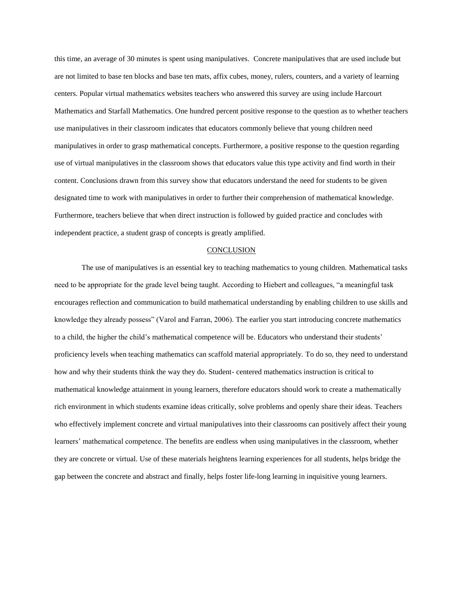this time, an average of 30 minutes is spent using manipulatives. Concrete manipulatives that are used include but are not limited to base ten blocks and base ten mats, affix cubes, money, rulers, counters, and a variety of learning centers. Popular virtual mathematics websites teachers who answered this survey are using include Harcourt Mathematics and Starfall Mathematics. One hundred percent positive response to the question as to whether teachers use manipulatives in their classroom indicates that educators commonly believe that young children need manipulatives in order to grasp mathematical concepts. Furthermore, a positive response to the question regarding use of virtual manipulatives in the classroom shows that educators value this type activity and find worth in their content. Conclusions drawn from this survey show that educators understand the need for students to be given designated time to work with manipulatives in order to further their comprehension of mathematical knowledge. Furthermore, teachers believe that when direct instruction is followed by guided practice and concludes with independent practice, a student grasp of concepts is greatly amplified.

#### **CONCLUSION**

The use of manipulatives is an essential key to teaching mathematics to young children. Mathematical tasks need to be appropriate for the grade level being taught. According to Hiebert and colleagues, "a meaningful task encourages reflection and communication to build mathematical understanding by enabling children to use skills and knowledge they already possess" (Varol and Farran, 2006). The earlier you start introducing concrete mathematics to a child, the higher the child's mathematical competence will be. Educators who understand their students' proficiency levels when teaching mathematics can scaffold material appropriately. To do so, they need to understand how and why their students think the way they do. Student- centered mathematics instruction is critical to mathematical knowledge attainment in young learners, therefore educators should work to create a mathematically rich environment in which students examine ideas critically, solve problems and openly share their ideas. Teachers who effectively implement concrete and virtual manipulatives into their classrooms can positively affect their young learners' mathematical competence. The benefits are endless when using manipulatives in the classroom, whether they are concrete or virtual. Use of these materials heightens learning experiences for all students, helps bridge the gap between the concrete and abstract and finally, helps foster life-long learning in inquisitive young learners.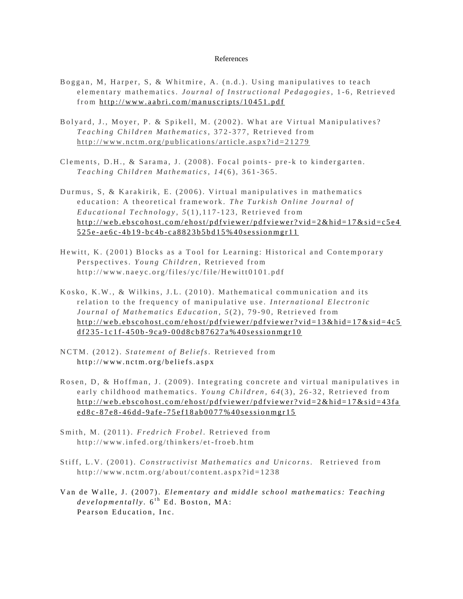### References

- Boggan, M, Harper, S, & Whitmire, A. (n.d.). Using manipulatives to teach e le mentary mathematics. *Journal of Instructional Pedagogies*, 1-6, Retrieved from http://www.aabri.com/manuscripts/10451.pdf
- Bolyard, J., Moyer, P. & Spikell, M. (2002). What are Virtual Manipulatives? Teaching Children Mathematics, 372-377, Retrieved from http://www.nctm.org/publications/article.aspx?id=21279
- Clements, D.H., & Sarama, J. (2008). Focal points- pre-k to kindergarten. *T e a c h i n g C h i l d r e n M a t h e m a t i c s*, *1 4* ( 6 ) , 3 6 1 - 3 6 5 .
- Durmus, S, & Karakirik, E. (2006). Virtual manipulatives in mathematics education: A theoretical framework. The Turkish Online Journal of Educational Technology, 5(1), 117-123, Retrieved from http://web.ebscohost.com/ehost/pdfviewer/pdfviewer?vid=2&hid=17&sid=c5e4 5 2 5 e - a e 6 c - 4 b 1 9 - b c 4 b - [c a 8 8 2 3 b 5 b d 1 5 % 4 0 s e s s i o n m g r 1 1](http://web.ebscohost.com/ehost/pdfviewer/pdfviewer?vid=2&hid=17&sid=c5e4525e-ae6c-4b19-bc4b-ca8823b5bd15%40sessionmgr11)
- Hewitt, K. (2001) Blocks as a Tool for Learning: Historical and Contemporary Perspectives. *Young Children*, Retrieved from http://www.naeyc.org/files/yc/file/Hewitt0101.pdf
- Kosko, K.W., & Wilkins, J.L. (2010). Mathematical communication and its relation to the frequency of manipulative use. International Electronic *Journal of Mathematics Education, 5(2), 79-90, Retrieved from* http://web.ebscohost.com/ehost/pdfviewer/pdfviewer?vid=13&hid=17&sid=4c5 d f 2 3 5 - 1 c 1 f - 4 5 0 b - 9 c a 9 - [0 0 d 8 c b 8 7 6 2 7 a % 4 0 s e s s i o n m g r 1 0](http://web.ebscohost.com/ehost/pdfviewer/pdfviewer?vid=13&hid=17&sid=4c5df235-1c1f-450b-9ca9-00d8cb87627a%40sessionmgr10)
- NCTM. (2012). Statement of Beliefs. Retrieved from http://www.nctm.org/beliefs.aspx
- Rosen, D, & Hoffman, J. (2009). Integrating concrete and virtual manipulatives in early childhood mathematics. *Young Children*, 64(3), 26-32, Retrieved from http://web.ebscohost.com/ehost/pdfviewer/pdfviewer?vid=2&hid=17&sid=43fa e d 8 c - 8 7 e 8 - 4 6 d d - 9 a f e - [7 5 e f 1 8 a b 0 0 7 7 % 4 0 s e s s i o n m g r 1 5](http://web.ebscohost.com/ehost/pdfviewer/pdfviewer?vid=2&hid=17&sid=43faed8c-87e8-46dd-9afe-75ef18ab0077%40sessionmgr15)
- Smith, M. (2011). *Fredrich Frobel*. Retrieved from http://www.infed.org/thinkers/et-froeb.htm
- Stiff, L.V. (2001). *Constructivist Mathematics and Unicorns*. Retrieved from http://www.nctm.org/about/content.aspx?id=1238
- Van de Walle, J. (2007). *Elementary and middle school mathematics: Teaching* developmentally.  $6^{\text{th}}$  Ed. Boston, MA: Pearson Education, Inc.